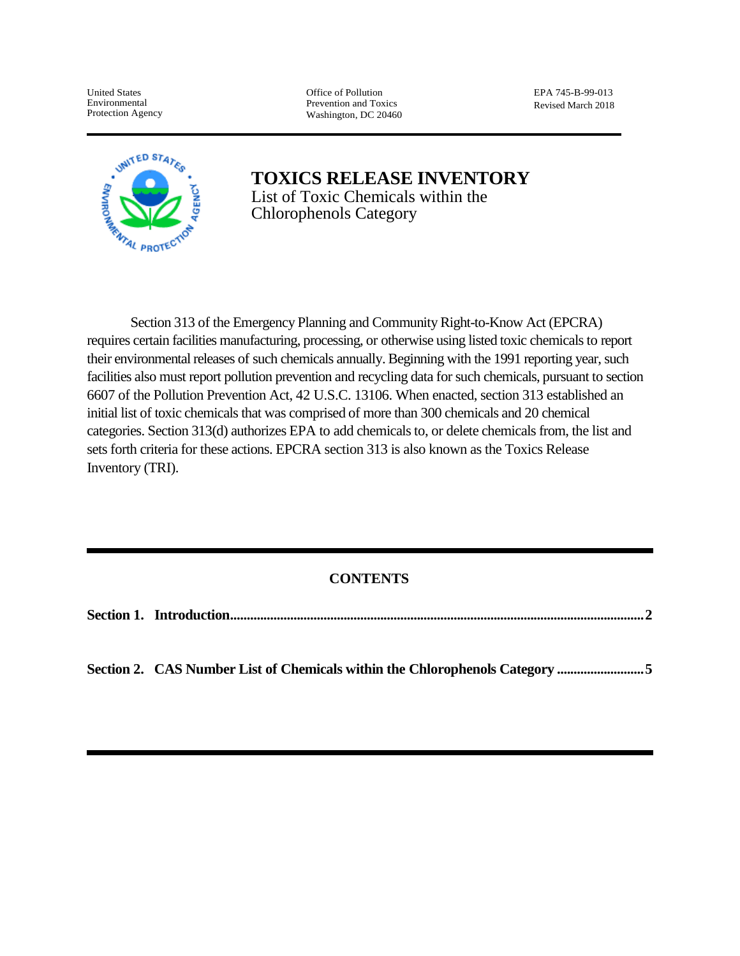United States Environmental Protection Agency Office of Pollution Prevention and Toxics Washington, DC 20460 EPA 745-B-99-013 Revised March 2018



**TOXICS RELEASE INVENTORY** List of Toxic Chemicals within the Chlorophenols Category

Section 313 of the Emergency Planning and Community Right-to-Know Act (EPCRA) requires certain facilities manufacturing, processing, or otherwise using listed toxic chemicals to report their environmental releases of such chemicals annually. Beginning with the 1991 reporting year, such facilities also must report pollution prevention and recycling data for such chemicals, pursuant to section 6607 of the Pollution Prevention Act, 42 U.S.C. 13106. When enacted, section 313 established an initial list of toxic chemicals that was comprised of more than 300 chemicals and 20 chemical categories. Section 313(d) authorizes EPA to add chemicals to, or delete chemicals from, the list and sets forth criteria for these actions. EPCRA section 313 is also known as the Toxics Release Inventory (TRI).

# **CONTENTS**

| Section 2. CAS Number List of Chemicals within the Chlorophenols Category 5 |
|-----------------------------------------------------------------------------|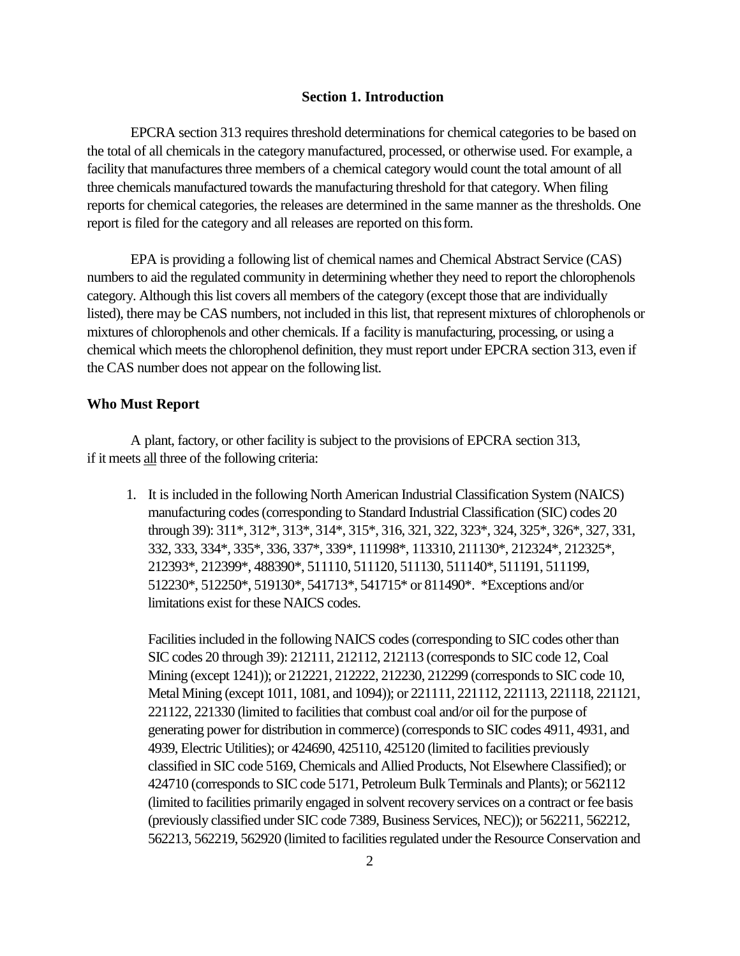#### **Section 1. Introduction**

EPCRA section 313 requires threshold determinations for chemical categories to be based on the total of all chemicals in the category manufactured, processed, or otherwise used. For example, a facility that manufactures three members of a chemical category would count the total amount of all three chemicals manufactured towards the manufacturing threshold for that category. When filing reports for chemical categories, the releases are determined in the same manner as the thresholds. One report is filed for the category and all releases are reported on thisform.

EPA is providing a following list of chemical names and Chemical Abstract Service (CAS) numbers to aid the regulated community in determining whether they need to report the chlorophenols category. Although this list covers all members of the category (except those that are individually listed), there may be CAS numbers, not included in this list, that represent mixtures of chlorophenols or mixtures of chlorophenols and other chemicals. If a facility is manufacturing, processing, or using a chemical which meets the chlorophenol definition, they must report under EPCRA section 313, even if the CAS number does not appear on the following list.

#### **Who Must Report**

A plant, factory, or other facility is subject to the provisions of EPCRA section 313, if it meets all three of the following criteria:

1. It is included in the following North American Industrial Classification System (NAICS) manufacturing codes (corresponding to Standard Industrial Classification (SIC) codes 20 through 39): 311\*, 312\*, 313\*, 314\*, 315\*, 316, 321, 322, 323\*, 324, 325\*, 326\*, 327, 331, 332, 333, 334\*, 335\*, 336, 337\*, 339\*, 111998\*, 113310, 211130\*, 212324\*, 212325\*, 212393\*, 212399\*, 488390\*, 511110, 511120, 511130, 511140\*, 511191, 511199, 512230\*, 512250\*, 519130\*, 541713\*, 541715\* or 811490\*. \*Exceptions and/or limitations exist for these NAICS codes.

Facilities included in the following NAICS codes (corresponding to SIC codes other than SIC codes 20 through 39): 212111, 212112, 212113 (corresponds to SIC code 12, Coal Mining (except 1241)); or 212221, 212222, 212230, 212299 (corresponds to SIC code 10, Metal Mining (except 1011, 1081, and 1094)); or 221111, 221112, 221113, 221118, 221121, 221122, 221330 (limited to facilities that combust coal and/or oil for the purpose of generating power for distribution in commerce) (corresponds to SIC codes 4911, 4931, and 4939, Electric Utilities); or 424690, 425110, 425120 (limited to facilities previously classified in SIC code 5169, Chemicals and Allied Products, Not Elsewhere Classified); or 424710 (corresponds to SIC code 5171, Petroleum Bulk Terminals and Plants); or 562112 (limited to facilities primarily engaged in solvent recovery services on a contract or fee basis (previously classified under SIC code 7389, Business Services, NEC)); or 562211, 562212, 562213, 562219, 562920 (limited to facilities regulated under the Resource Conservation and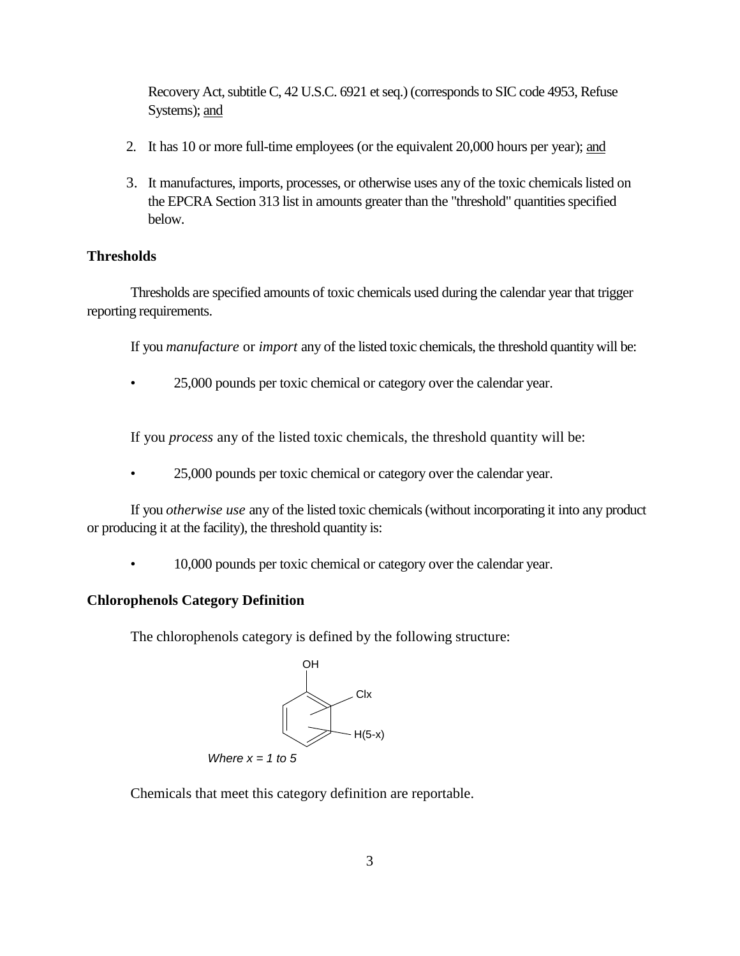Recovery Act, subtitle C, 42 U.S.C. 6921 et seq.) (corresponds to SIC code 4953, Refuse Systems); and

- 2. It has 10 or more full-time employees (or the equivalent 20,000 hours per year); and
- 3. It manufactures, imports, processes, or otherwise uses any of the toxic chemicals listed on the EPCRA Section 313 list in amounts greater than the "threshold" quantities specified below.

## **Thresholds**

Thresholds are specified amounts of toxic chemicals used during the calendar year that trigger reporting requirements.

If you *manufacture* or *import* any of the listed toxic chemicals, the threshold quantity will be:

• 25,000 pounds per toxic chemical or category over the calendar year.

If you *process* any of the listed toxic chemicals, the threshold quantity will be:

• 25,000 pounds per toxic chemical or category over the calendar year.

If you *otherwise use* any of the listed toxic chemicals (without incorporating it into any product or producing it at the facility), the threshold quantity is:

• 10,000 pounds per toxic chemical or category over the calendar year.

# **Chlorophenols Category Definition**

The chlorophenols category is defined by the following structure:



Chemicals that meet this category definition are reportable.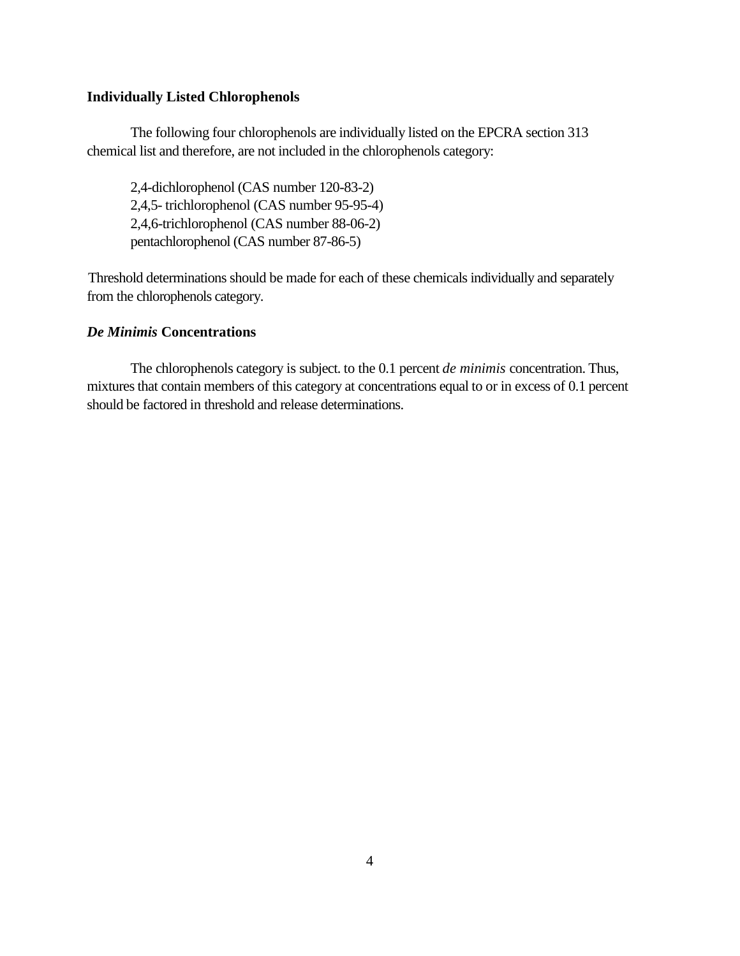### **Individually Listed Chlorophenols**

The following four chlorophenols are individually listed on the EPCRA section 313 chemical list and therefore, are not included in the chlorophenols category:

2,4-dichlorophenol (CAS number 120-83-2) 2,4,5- trichlorophenol (CAS number 95-95-4) 2,4,6-trichlorophenol (CAS number 88-06-2) pentachlorophenol (CAS number 87-86-5)

Threshold determinations should be made for each of these chemicals individually and separately from the chlorophenols category.

## *De Minimis* **Concentrations**

The chlorophenols category is subject. to the 0.1 percent *de minimis* concentration. Thus, mixtures that contain members of this category at concentrations equal to or in excess of 0.1 percent should be factored in threshold and release determinations.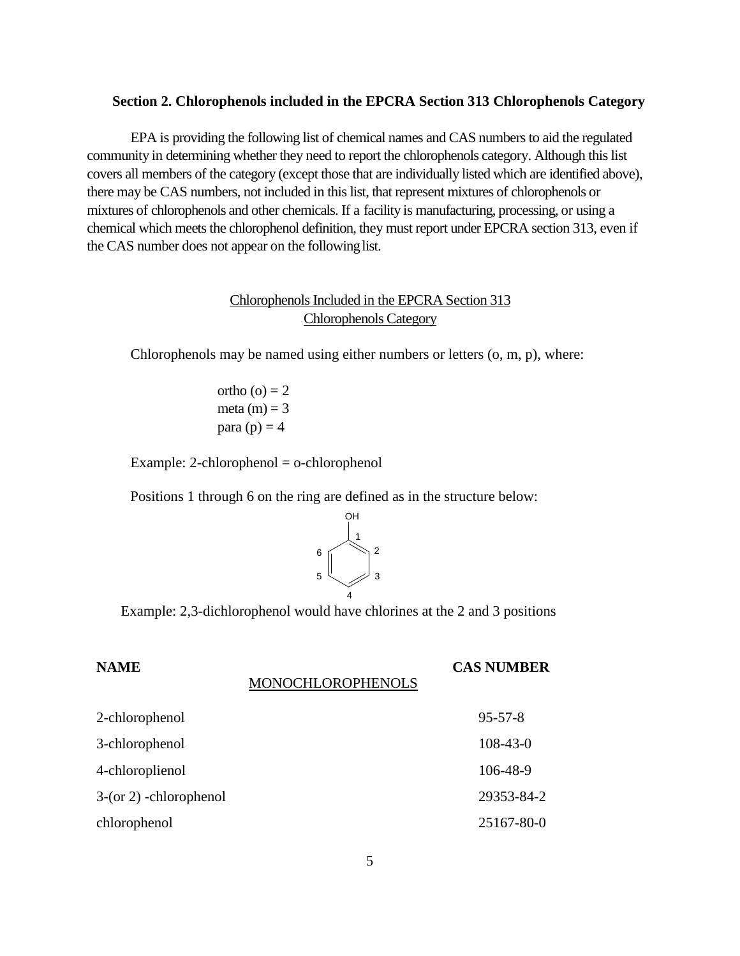#### **Section 2. Chlorophenols included in the EPCRA Section 313 Chlorophenols Category**

EPA is providing the following list of chemical names and CAS numbers to aid the regulated community in determining whether they need to report the chlorophenols category. Although this list covers all members of the category (except those that are individually listed which are identified above), there may be CAS numbers, not included in this list, that represent mixtures of chlorophenols or mixtures of chlorophenols and other chemicals. If a facility is manufacturing, processing, or using a chemical which meets the chlorophenol definition, they must report under EPCRA section 313, even if the CAS number does not appear on the following list.

# Chlorophenols Included in the EPCRA Section 313 Chlorophenols Category

Chlorophenols may be named using either numbers or letters (o, m, p), where:

ortho  $(o) = 2$ meta  $(m) = 3$ para  $(p) = 4$ 

Example: 2-chlorophenol = o-chlorophenol

Positions 1 through 6 on the ring are defined as in the structure below:



Example: 2,3-dichlorophenol would have chlorines at the 2 and 3 positions

# **NAME CAS NUMBER**

#### MONOCHLOROPHENOLS

| 2-chlorophenol           | $95 - 57 - 8$  |
|--------------------------|----------------|
| 3-chlorophenol           | $108 - 43 - 0$ |
| 4-chloroplienol          | 106-48-9       |
| $3-(or 2)$ -chlorophenol | 29353-84-2     |
| chlorophenol             | 25167-80-0     |